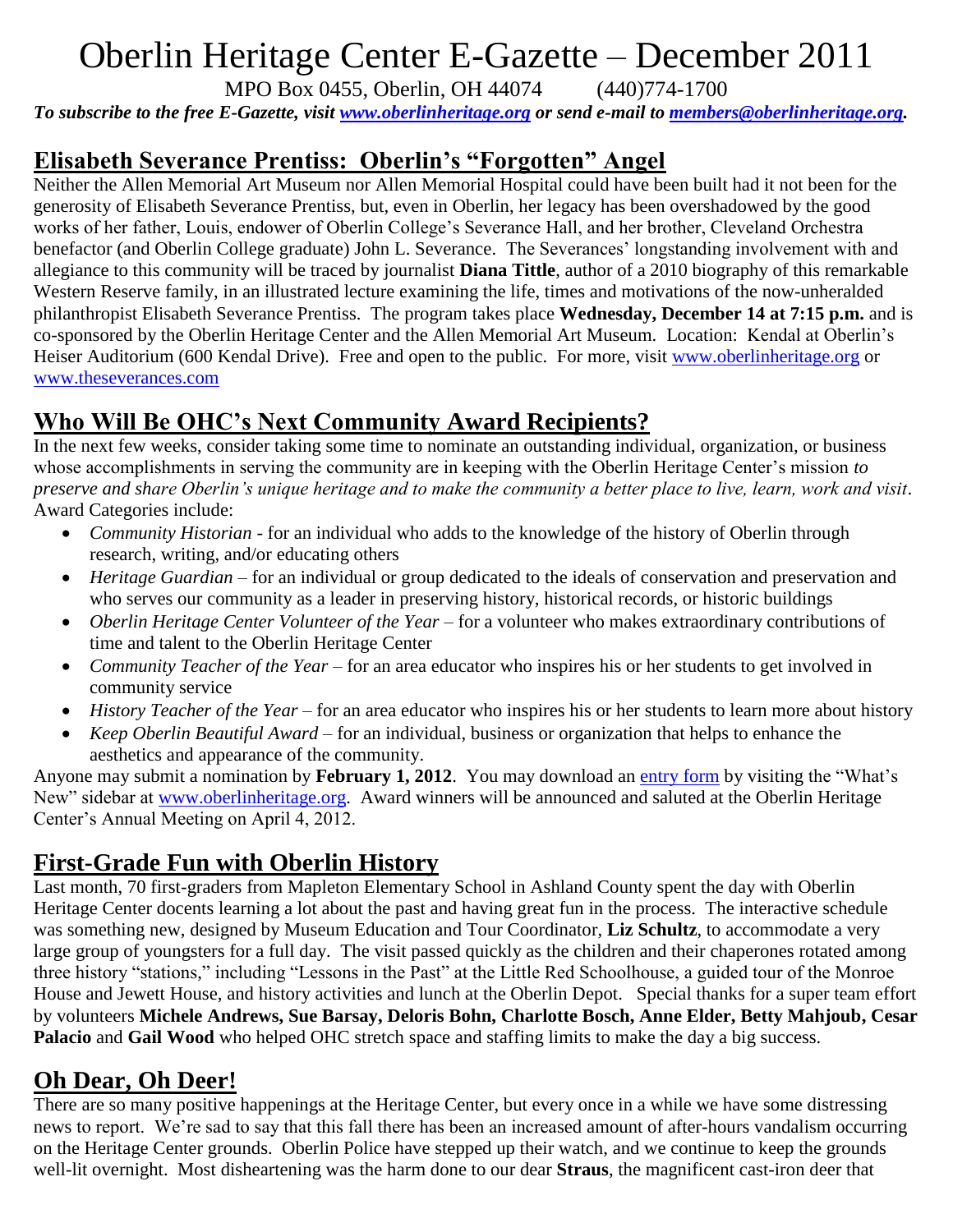# Oberlin Heritage Center E-Gazette – December 2011

MPO Box 0455, Oberlin, OH 44074 (440)774-1700

*To subscribe to the free E-Gazette, visit [www.oberlinheritage.org](http://www.oberlinheritage.org/) or send e-mail to [members@oberlinheritage.org.](mailto:members@oberlinheritage.org)*

### **Elisabeth Severance Prentiss: Oberlin's "Forgotten" Angel**

Neither the Allen Memorial Art Museum nor Allen Memorial Hospital could have been built had it not been for the generosity of Elisabeth Severance Prentiss, but, even in Oberlin, her legacy has been overshadowed by the good works of her father, Louis, endower of Oberlin College's Severance Hall, and her brother, Cleveland Orchestra benefactor (and Oberlin College graduate) John L. Severance. The Severances' longstanding involvement with and allegiance to this community will be traced by journalist **Diana Tittle**, author of a 2010 biography of this remarkable Western Reserve family, in an illustrated lecture examining the life, times and motivations of the now-unheralded philanthropist Elisabeth Severance Prentiss. The program takes place **Wednesday, December 14 at 7:15 p.m.** and is co-sponsored by the Oberlin Heritage Center and the Allen Memorial Art Museum. Location: Kendal at Oberlin's Heiser Auditorium (600 Kendal Drive). Free and open to the public. For more, visit [www.oberlinheritage.org](http://www.oberlinheritage.org/) or [www.theseverances.com](http://www.theseverances.com/)

### **Who Will Be OHC's Next Community Award Recipients?**

In the next few weeks, consider taking some time to nominate an outstanding individual, organization, or business whose accomplishments in serving the community are in keeping with the Oberlin Heritage Center's mission *to preserve and share Oberlin's unique heritage and to make the community a better place to live, learn, work and visit*. Award Categories include:

- *Community Historian* for an individual who adds to the knowledge of the history of Oberlin through research, writing, and/or educating others
- *Heritage Guardian* for an individual or group dedicated to the ideals of conservation and preservation and who serves our community as a leader in preserving history, historical records, or historic buildings
- *Oberlin Heritage Center Volunteer of the Year* for a volunteer who makes extraordinary contributions of time and talent to the Oberlin Heritage Center
- *Community Teacher of the Year* for an area educator who inspires his or her students to get involved in community service
- *History Teacher of the Year* for an area educator who inspires his or her students to learn more about history
- *Keep Oberlin Beautiful Award* for an individual, business or organization that helps to enhance the aesthetics and appearance of the community.

Anyone may submit a nomination by **February 1, 2012**. You may download an [entry form](http://www.oberlinheritage.org/files/whatsnew/attachments/Awards_brochure_2012.pdf) by visiting the "What's New" sidebar at [www.oberlinheritage.org.](http://www.oberlinheritage.org/) Award winners will be announced and saluted at the Oberlin Heritage Center's Annual Meeting on April 4, 2012.

### **First-Grade Fun with Oberlin History**

Last month, 70 first-graders from Mapleton Elementary School in Ashland County spent the day with Oberlin Heritage Center docents learning a lot about the past and having great fun in the process. The interactive schedule was something new, designed by Museum Education and Tour Coordinator, **Liz Schultz**, to accommodate a very large group of youngsters for a full day. The visit passed quickly as the children and their chaperones rotated among three history "stations," including "Lessons in the Past" at the Little Red Schoolhouse, a guided tour of the Monroe House and Jewett House, and history activities and lunch at the Oberlin Depot. Special thanks for a super team effort by volunteers **Michele Andrews, Sue Barsay, Deloris Bohn, Charlotte Bosch, Anne Elder, Betty Mahjoub, Cesar Palacio** and **Gail Wood** who helped OHC stretch space and staffing limits to make the day a big success.

### **Oh Dear, Oh Deer!**

There are so many positive happenings at the Heritage Center, but every once in a while we have some distressing news to report. We're sad to say that this fall there has been an increased amount of after-hours vandalism occurring on the Heritage Center grounds. Oberlin Police have stepped up their watch, and we continue to keep the grounds well-lit overnight. Most disheartening was the harm done to our dear **Straus**, the magnificent cast-iron deer that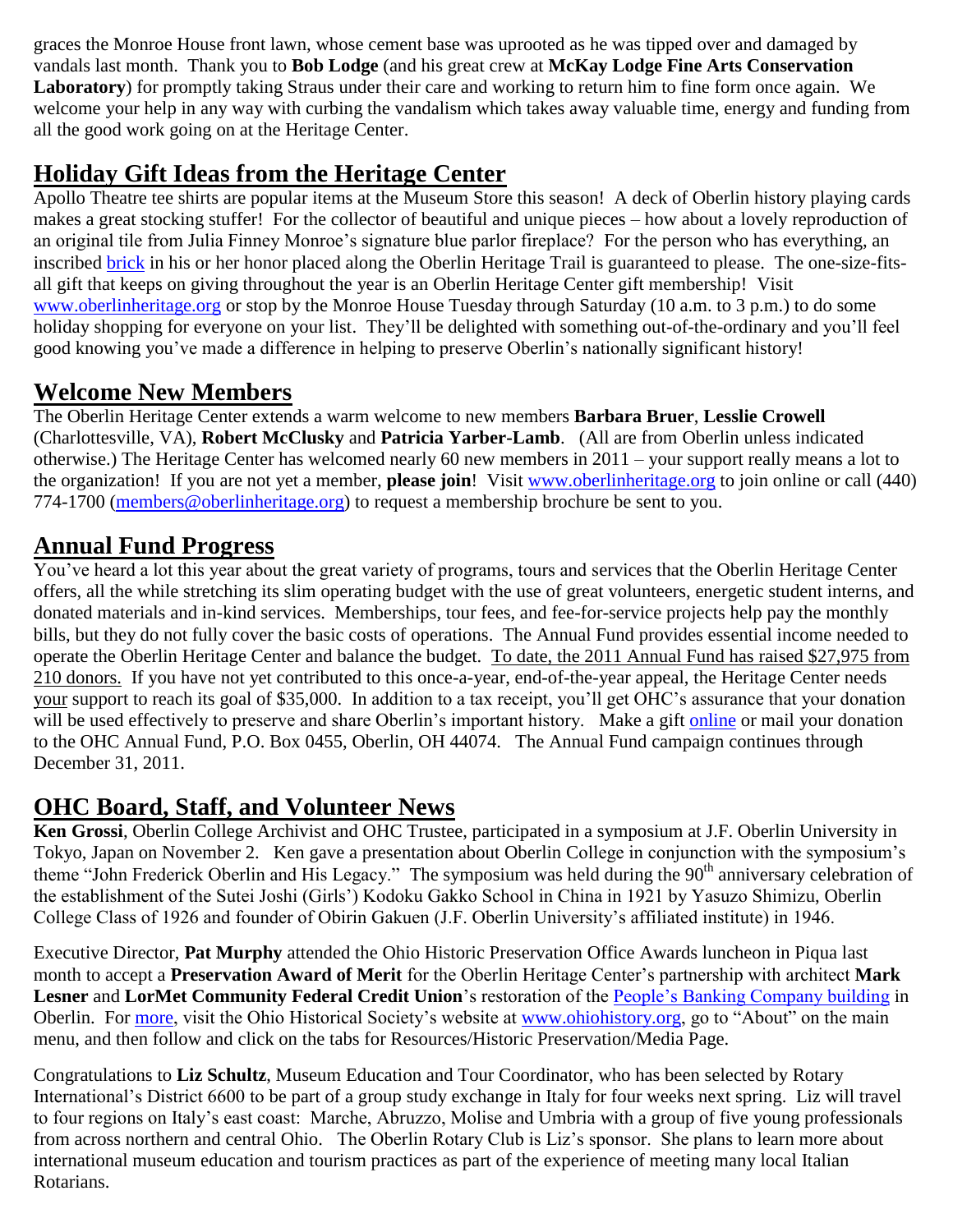graces the Monroe House front lawn, whose cement base was uprooted as he was tipped over and damaged by vandals last month. Thank you to **Bob Lodge** (and his great crew at **McKay Lodge Fine Arts Conservation Laboratory**) for promptly taking Straus under their care and working to return him to fine form once again. We welcome your help in any way with curbing the vandalism which takes away valuable time, energy and funding from all the good work going on at the Heritage Center.

### **Holiday Gift Ideas from the Heritage Center**

Apollo Theatre tee shirts are popular items at the Museum Store this season! A deck of Oberlin history playing cards makes a great stocking stuffer! For the collector of beautiful and unique pieces – how about a lovely reproduction of an original tile from Julia Finney Monroe's signature blue parlor fireplace? For the person who has everything, an inscribed [brick](https://secure.oberlinheritage.org/buyabrick.shtml) in his or her honor placed along the Oberlin Heritage Trail is guaranteed to please. The one-size-fitsall gift that keeps on giving throughout the year is an Oberlin Heritage Center gift membership! Visit [www.oberlinheritage.org](http://www.oberlinheritage.org/) or stop by the Monroe House Tuesday through Saturday (10 a.m. to 3 p.m.) to do some holiday shopping for everyone on your list. They'll be delighted with something out-of-the-ordinary and you'll feel good knowing you've made a difference in helping to preserve Oberlin's nationally significant history!

#### **Welcome New Members**

The Oberlin Heritage Center extends a warm welcome to new members **Barbara Bruer**, **Lesslie Crowell** (Charlottesville, VA), **Robert McClusky** and **Patricia Yarber-Lamb**. (All are from Oberlin unless indicated otherwise.) The Heritage Center has welcomed nearly 60 new members in 2011 – your support really means a lot to the organization! If you are not yet a member, **please join**! Visit [www.oberlinheritage.org](http://www.oberlinheritage.org/) to join online or call (440) 774-1700 [\(members@oberlinheritage.org\)](mailto:members@oberlinheritage.org) to request a membership brochure be sent to you.

## **Annual Fund Progress**

You've heard a lot this year about the great variety of programs, tours and services that the Oberlin Heritage Center offers, all the while stretching its slim operating budget with the use of great volunteers, energetic student interns, and donated materials and in-kind services. Memberships, tour fees, and fee-for-service projects help pay the monthly bills, but they do not fully cover the basic costs of operations. The Annual Fund provides essential income needed to operate the Oberlin Heritage Center and balance the budget. To date, the 2011 Annual Fund has raised \$27,975 from 210 donors. If you have not yet contributed to this once-a-year, end-of-the-year appeal, the Heritage Center needs your support to reach its goal of \$35,000. In addition to a tax receipt, you'll get OHC's assurance that your donation will be used effectively to preserve and share Oberlin's important history. Make a gift [online](https://secure.oberlinheritage.org/donation.shtml) or mail your donation to the OHC Annual Fund, P.O. Box 0455, Oberlin, OH 44074. The Annual Fund campaign continues through December 31, 2011.

### **OHC Board, Staff, and Volunteer News**

**Ken Grossi**, Oberlin College Archivist and OHC Trustee, participated in a symposium at J.F. Oberlin University in Tokyo, Japan on November 2. Ken gave a presentation about Oberlin College in conjunction with the symposium's theme "John Frederick Oberlin and His Legacy." The symposium was held during the 90<sup>th</sup> anniversary celebration of the establishment of the Sutei Joshi (Girls') Kodoku Gakko School in China in 1921 by Yasuzo Shimizu, Oberlin College Class of 1926 and founder of Obirin Gakuen (J.F. Oberlin University's affiliated institute) in 1946.

Executive Director, **Pat Murphy** attended the Ohio Historic Preservation Office Awards luncheon in Piqua last month to accept a **Preservation Award of Merit** for the Oberlin Heritage Center's partnership with architect **Mark Lesner** and **LorMet Community Federal Credit Union**'s restoration of the [People's Banking Company building](http://ohsweb.ohiohistory.org/portal/about-p.shtml) in Oberlin. For [more,](http://www.ohiohistory.org/about/pr/111811a.html) visit the Ohio Historical Society's website at [www.ohiohistory.org,](http://www.ohiohistory.org/) go to "About" on the main menu, and then follow and click on the tabs for Resources/Historic Preservation/Media Page.

Congratulations to **Liz Schultz**, Museum Education and Tour Coordinator, who has been selected by Rotary International's District 6600 to be part of a group study exchange in Italy for four weeks next spring. Liz will travel to four regions on Italy's east coast: Marche, Abruzzo, Molise and Umbria with a group of five young professionals from across northern and central Ohio. The Oberlin Rotary Club is Liz's sponsor. She plans to learn more about international museum education and tourism practices as part of the experience of meeting many local Italian Rotarians.